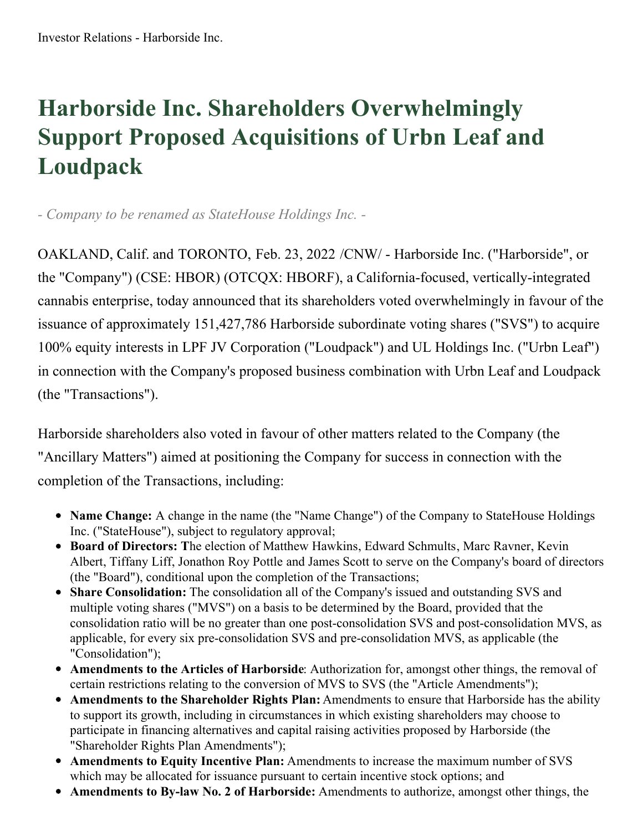## **Harborside Inc. Shareholders Overwhelmingly Support Proposed Acquisitions of Urbn Leaf and Loudpack**

*- Company to be renamed as StateHouse Holdings Inc. -*

OAKLAND, Calif. and TORONTO, Feb. 23, 2022 /CNW/ - Harborside Inc. ("Harborside", or the "Company") (CSE: HBOR) (OTCQX: HBORF), a California-focused, vertically-integrated cannabis enterprise, today announced that its shareholders voted overwhelmingly in favour of the issuance of approximately 151,427,786 Harborside subordinate voting shares ("SVS") to acquire 100% equity interests in LPF JV Corporation ("Loudpack") and UL Holdings Inc. ("Urbn Leaf") in connection with the Company's proposed business combination with Urbn Leaf and Loudpack (the "Transactions").

Harborside shareholders also voted in favour of other matters related to the Company (the "Ancillary Matters") aimed at positioning the Company for success in connection with the completion of the Transactions, including:

- **Name Change:** A change in the name (the "Name Change") of the Company to StateHouse Holdings Inc. ("StateHouse"), subject to regulatory approval;
- **Board of Directors: T**he election of Matthew Hawkins, Edward Schmults, Marc Ravner, Kevin Albert, Tiffany Liff, Jonathon Roy Pottle and James Scott to serve on the Company's board of directors (the "Board"), conditional upon the completion of the Transactions;
- **Share Consolidation:** The consolidation all of the Company's issued and outstanding SVS and multiple voting shares ("MVS") on a basis to be determined by the Board, provided that the consolidation ratio will be no greater than one post-consolidation SVS and post-consolidation MVS, as applicable, for every six pre-consolidation SVS and pre-consolidation MVS, as applicable (the "Consolidation");
- **Amendments to the Articles of Harborside**: Authorization for, amongst other things, the removal of certain restrictions relating to the conversion of MVS to SVS (the "Article Amendments");
- **Amendments to the Shareholder Rights Plan:** Amendments to ensure that Harborside has the ability to support its growth, including in circumstances in which existing shareholders may choose to participate in financing alternatives and capital raising activities proposed by Harborside (the "Shareholder Rights Plan Amendments");
- **Amendments to Equity Incentive Plan:** Amendments to increase the maximum number of SVS which may be allocated for issuance pursuant to certain incentive stock options; and
- **Amendments to By-law No. 2 of Harborside:** Amendments to authorize, amongst other things, the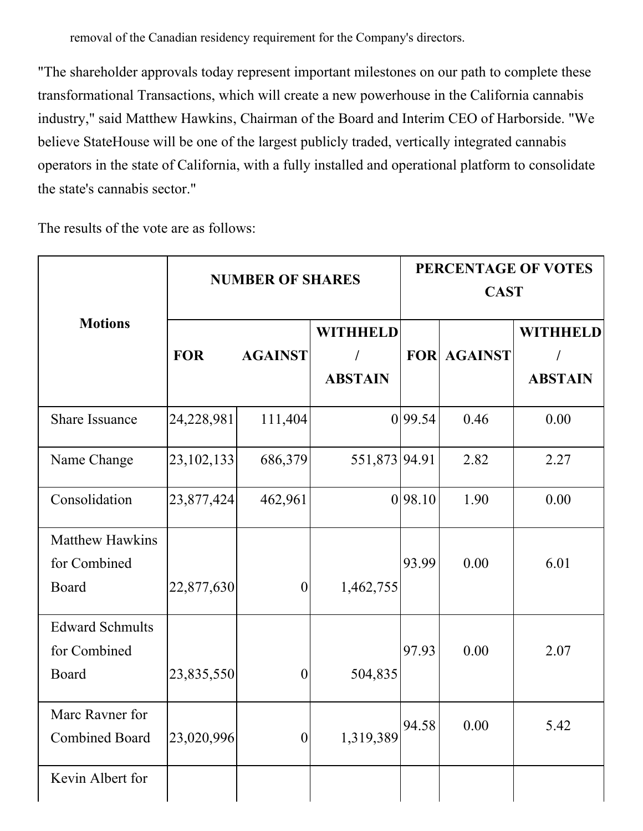removal of the Canadian residency requirement for the Company's directors.

"The shareholder approvals today represent important milestones on our path to complete these transformational Transactions, which will create a new powerhouse in the California cannabis industry," said Matthew Hawkins, Chairman of the Board and Interim CEO of Harborside. "We believe StateHouse will be one of the largest publicly traded, vertically integrated cannabis operators in the state of California, with a fully installed and operational platform to consolidate the state's cannabis sector."

The results of the vote are as follows:

| <b>Motions</b>                                         | <b>NUMBER OF SHARES</b> |                  |                                        | PERCENTAGE OF VOTES<br><b>CAST</b> |                    |                                                 |
|--------------------------------------------------------|-------------------------|------------------|----------------------------------------|------------------------------------|--------------------|-------------------------------------------------|
|                                                        | <b>FOR</b>              | <b>AGAINST</b>   | <b>WITHHELD</b><br>T<br><b>ABSTAIN</b> |                                    | <b>FOR AGAINST</b> | <b>WITHHELD</b><br>$\sqrt{2}$<br><b>ABSTAIN</b> |
| <b>Share Issuance</b>                                  | 24,228,981              | 111,404          |                                        | 0 99.54                            | 0.46               | 0.00                                            |
| Name Change                                            | 23, 102, 133            | 686,379          | 551,873 94.91                          |                                    | 2.82               | 2.27                                            |
| Consolidation                                          | 23,877,424              | 462,961          |                                        | 0 98.10                            | 1.90               | 0.00                                            |
| <b>Matthew Hawkins</b><br>for Combined<br>Board        | 22,877,630              | $\boldsymbol{0}$ | 1,462,755                              | 93.99                              | 0.00               | 6.01                                            |
| <b>Edward Schmults</b><br>for Combined<br><b>Board</b> | 23,835,550              | $\boldsymbol{0}$ | 504,835                                | 97.93                              | 0.00               | 2.07                                            |
| Marc Ravner for<br><b>Combined Board</b>               | 23,020,996              | $\boldsymbol{0}$ | 1,319,389                              | 94.58                              | 0.00               | 5.42                                            |
| Kevin Albert for                                       |                         |                  |                                        |                                    |                    |                                                 |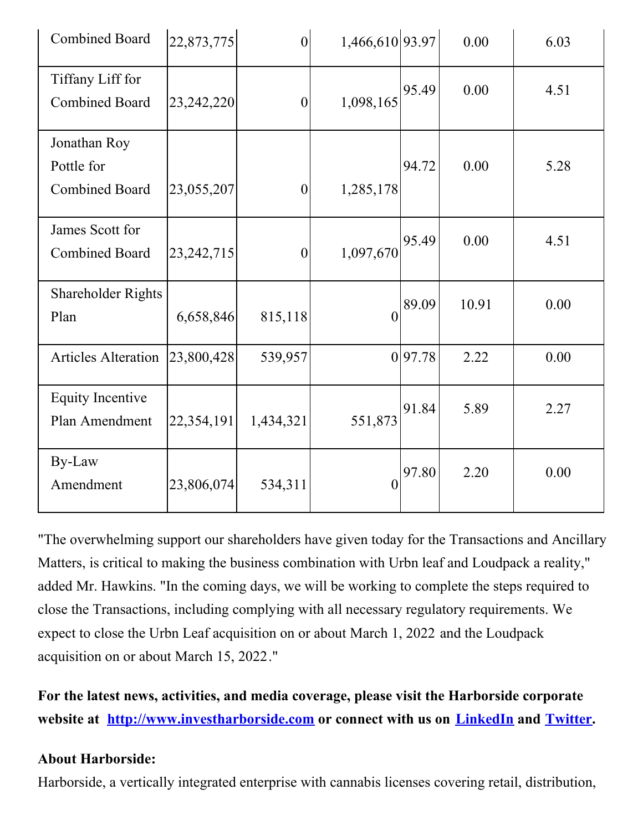| <b>Combined Board</b>                               | 22,873,775   | $\boldsymbol{0}$ | 1,466,610 93.97  |        | 0.00  | 6.03 |
|-----------------------------------------------------|--------------|------------------|------------------|--------|-------|------|
| Tiffany Liff for<br><b>Combined Board</b>           | 23,242,220   | $\overline{0}$   | 1,098,165        | 95.49  | 0.00  | 4.51 |
| Jonathan Roy<br>Pottle for<br><b>Combined Board</b> | 23,055,207   | $\overline{0}$   | 1,285,178        | 94.72  | 0.00  | 5.28 |
| James Scott for<br><b>Combined Board</b>            | 23, 242, 715 | $\overline{0}$   | 1,097,670        | 95.49  | 0.00  | 4.51 |
| <b>Shareholder Rights</b><br>Plan                   | 6,658,846    | 815,118          | $\boldsymbol{0}$ | 89.09  | 10.91 | 0.00 |
| <b>Articles Alteration</b>                          | 23,800,428   | 539,957          |                  | 097.78 | 2.22  | 0.00 |
| <b>Equity Incentive</b><br>Plan Amendment           | 22,354,191   | 1,434,321        | 551,873          | 91.84  | 5.89  | 2.27 |
| By-Law<br>Amendment                                 | 23,806,074   | 534,311          | $\overline{0}$   | 97.80  | 2.20  | 0.00 |

"The overwhelming support our shareholders have given today for the Transactions and Ancillary Matters, is critical to making the business combination with Urbn leaf and Loudpack a reality," added Mr. Hawkins. "In the coming days, we will be working to complete the steps required to close the Transactions, including complying with all necessary regulatory requirements. We expect to close the Urbn Leaf acquisition on or about March 1, 2022 and the Loudpack acquisition on or about March 15, 2022."

**For the latest news, activities, and media coverage, please visit the Harborside corporate website at [http://www.investharborside.com](https://c212.net/c/link/?t=0&l=en&o=3452370-1&h=1698457400&u=http%3A%2F%2Fwww.investharborside.com%2F&a=http%3A%2F%2Fwww.investharborside.com) or connect with us on [LinkedIn](https://c212.net/c/link/?t=0&l=en&o=3452370-1&h=3243012483&u=https%3A%2F%2Fwww.linkedin.com%2Fcompany%2Fharborside-inc%2F&a=LinkedIn) and [Twitter](https://c212.net/c/link/?t=0&l=en&o=3452370-1&h=2078846186&u=https%3A%2F%2Ftwitter.com%2FHarborsideInc&a=Twitter).**

## **About Harborside:**

Harborside, a vertically integrated enterprise with cannabis licenses covering retail, distribution,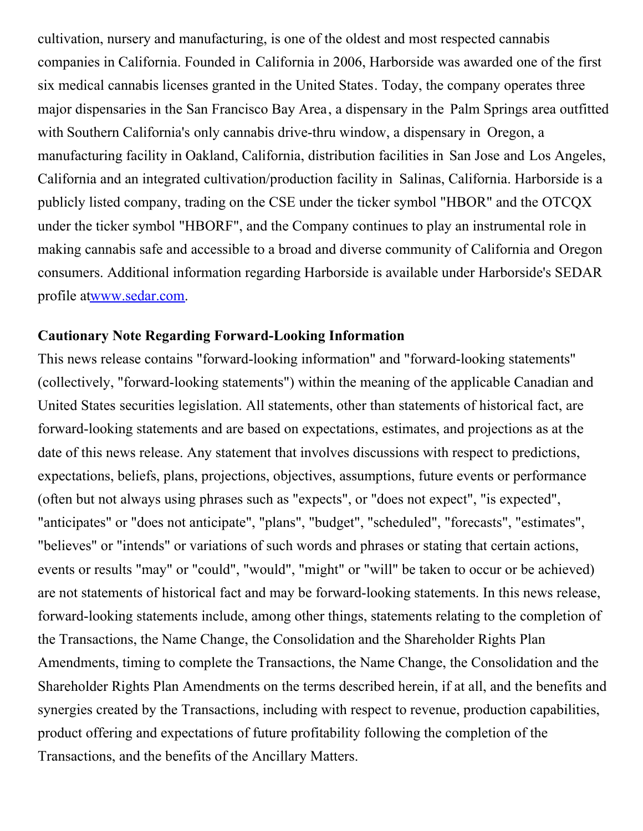cultivation, nursery and manufacturing, is one of the oldest and most respected cannabis companies in California. Founded in California in 2006, Harborside was awarded one of the first six medical cannabis licenses granted in the United States. Today, the company operates three major dispensaries in the San Francisco Bay Area, a dispensary in the Palm Springs area outfitted with Southern California's only cannabis drive-thru window, a dispensary in Oregon, a manufacturing facility in Oakland, California, distribution facilities in San Jose and Los Angeles, California and an integrated cultivation/production facility in Salinas, California. Harborside is a publicly listed company, trading on the CSE under the ticker symbol "HBOR" and the OTCQX under the ticker symbol "HBORF", and the Company continues to play an instrumental role in making cannabis safe and accessible to a broad and diverse community of California and Oregon consumers. Additional information regarding Harborside is available under Harborside's SEDAR profile a[twww.sedar.com](https://c212.net/c/link/?t=0&l=en&o=3452370-1&h=2160824531&u=http%3A%2F%2Fwww.sedar.com%2F&a=www.sedar.com).

## **Cautionary Note Regarding Forward-Looking Information**

This news release contains "forward-looking information" and "forward-looking statements" (collectively, "forward-looking statements") within the meaning of the applicable Canadian and United States securities legislation. All statements, other than statements of historical fact, are forward-looking statements and are based on expectations, estimates, and projections as at the date of this news release. Any statement that involves discussions with respect to predictions, expectations, beliefs, plans, projections, objectives, assumptions, future events or performance (often but not always using phrases such as "expects", or "does not expect", "is expected", "anticipates" or "does not anticipate", "plans", "budget", "scheduled", "forecasts", "estimates", "believes" or "intends" or variations of such words and phrases or stating that certain actions, events or results "may" or "could", "would", "might" or "will" be taken to occur or be achieved) are not statements of historical fact and may be forward-looking statements. In this news release, forward-looking statements include, among other things, statements relating to the completion of the Transactions, the Name Change, the Consolidation and the Shareholder Rights Plan Amendments, timing to complete the Transactions, the Name Change, the Consolidation and the Shareholder Rights Plan Amendments on the terms described herein, if at all, and the benefits and synergies created by the Transactions, including with respect to revenue, production capabilities, product offering and expectations of future profitability following the completion of the Transactions, and the benefits of the Ancillary Matters.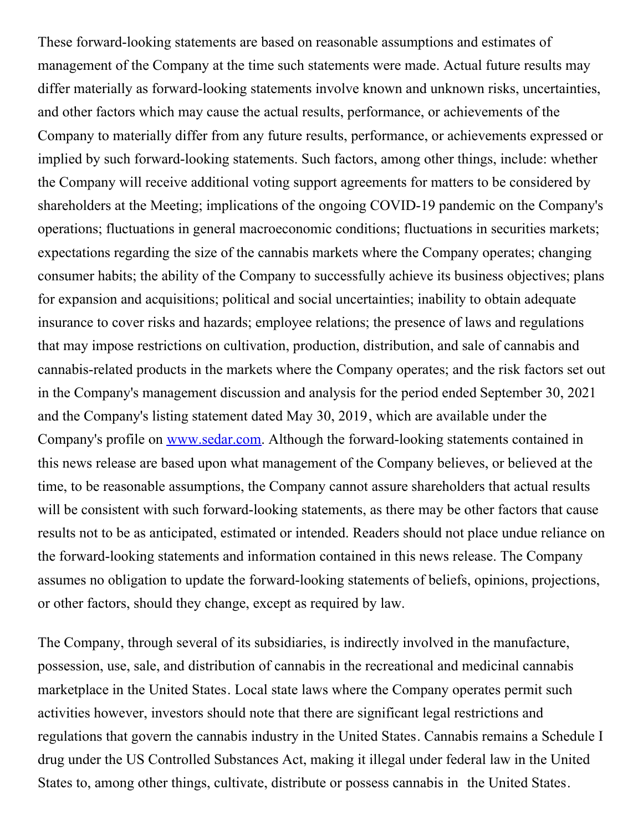These forward-looking statements are based on reasonable assumptions and estimates of management of the Company at the time such statements were made. Actual future results may differ materially as forward-looking statements involve known and unknown risks, uncertainties, and other factors which may cause the actual results, performance, or achievements of the Company to materially differ from any future results, performance, or achievements expressed or implied by such forward-looking statements. Such factors, among other things, include: whether the Company will receive additional voting support agreements for matters to be considered by shareholders at the Meeting; implications of the ongoing COVID-19 pandemic on the Company's operations; fluctuations in general macroeconomic conditions; fluctuations in securities markets; expectations regarding the size of the cannabis markets where the Company operates; changing consumer habits; the ability of the Company to successfully achieve its business objectives; plans for expansion and acquisitions; political and social uncertainties; inability to obtain adequate insurance to cover risks and hazards; employee relations; the presence of laws and regulations that may impose restrictions on cultivation, production, distribution, and sale of cannabis and cannabis-related products in the markets where the Company operates; and the risk factors set out in the Company's management discussion and analysis for the period ended September 30, 2021 and the Company's listing statement dated May 30, 2019, which are available under the Company's profile on [www.sedar.com](https://c212.net/c/link/?t=0&l=en&o=3452370-1&h=2160824531&u=http%3A%2F%2Fwww.sedar.com%2F&a=www.sedar.com). Although the forward-looking statements contained in this news release are based upon what management of the Company believes, or believed at the time, to be reasonable assumptions, the Company cannot assure shareholders that actual results will be consistent with such forward-looking statements, as there may be other factors that cause results not to be as anticipated, estimated or intended. Readers should not place undue reliance on the forward-looking statements and information contained in this news release. The Company assumes no obligation to update the forward-looking statements of beliefs, opinions, projections, or other factors, should they change, except as required by law.

The Company, through several of its subsidiaries, is indirectly involved in the manufacture, possession, use, sale, and distribution of cannabis in the recreational and medicinal cannabis marketplace in the United States. Local state laws where the Company operates permit such activities however, investors should note that there are significant legal restrictions and regulations that govern the cannabis industry in the United States. Cannabis remains a Schedule I drug under the US Controlled Substances Act, making it illegal under federal law in the United States to, among other things, cultivate, distribute or possess cannabis in the United States.